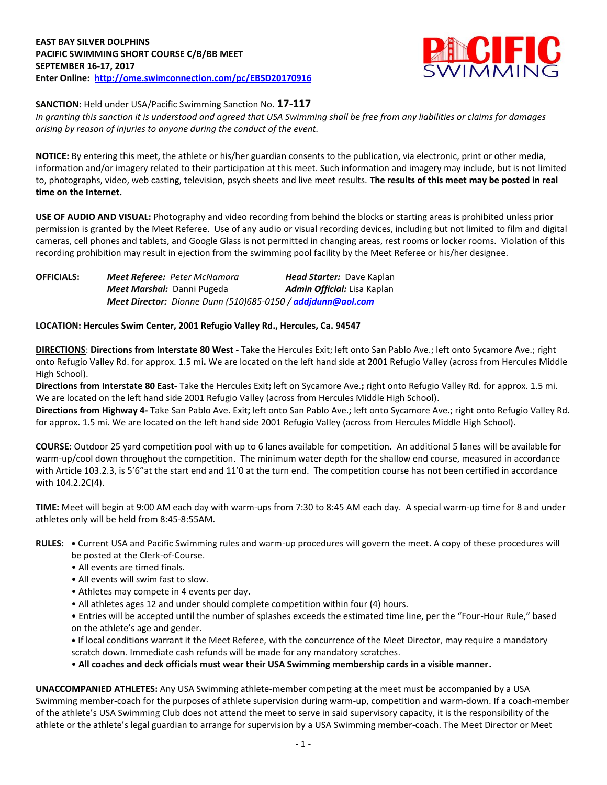

**SANCTION:** Held under USA/Pacific Swimming Sanction No. **17-117**

*In granting this sanction it is understood and agreed that USA Swimming shall be free from any liabilities or claims for damages arising by reason of injuries to anyone during the conduct of the event.*

**NOTICE:** By entering this meet, the athlete or his/her guardian consents to the publication, via electronic, print or other media, information and/or imagery related to their participation at this meet. Such information and imagery may include, but is not limited to, photographs, video, web casting, television, psych sheets and live meet results. **The results of this meet may be posted in real time on the Internet.**

**USE OF AUDIO AND VISUAL:** Photography and video recording from behind the blocks or starting areas is prohibited unless prior permission is granted by the Meet Referee. Use of any audio or visual recording devices, including but not limited to film and digital cameras, cell phones and tablets, and Google Glass is not permitted in changing areas, rest rooms or locker rooms. Violation of this recording prohibition may result in ejection from the swimming pool facility by the Meet Referee or his/her designee.

| <b>OFFICIALS:</b> | <b>Meet Referee: Peter McNamara</b>                                | <b>Head Starter: Dave Kaplan</b>   |
|-------------------|--------------------------------------------------------------------|------------------------------------|
|                   | Meet Marshal: Danni Pugeda                                         | <b>Admin Official:</b> Lisa Kaplan |
|                   | <b>Meet Director:</b> Dionne Dunn (510)685-0150 / addidunn@aol.com |                                    |

## **LOCATION: Hercules Swim Center, 2001 Refugio Valley Rd., Hercules, Ca. 94547**

**DIRECTIONS**: **Directions from Interstate 80 West -** Take the Hercules Exit; left onto San Pablo Ave.; left onto Sycamore Ave.; right onto Refugio Valley Rd. for approx. 1.5 mi**.** We are located on the left hand side at 2001 Refugio Valley (across from Hercules Middle High School).

**Directions from Interstate 80 East-** Take the Hercules Exit**;** left on Sycamore Ave.**;** right onto Refugio Valley Rd. for approx. 1.5 mi. We are located on the left hand side 2001 Refugio Valley (across from Hercules Middle High School).

**Directions from Highway 4-** Take San Pablo Ave. Exit**;** left onto San Pablo Ave.**;** left onto Sycamore Ave.; right onto Refugio Valley Rd. for approx. 1.5 mi. We are located on the left hand side 2001 Refugio Valley (across from Hercules Middle High School).

**COURSE:** Outdoor 25 yard competition pool with up to 6 lanes available for competition.An additional 5 lanes will be available for warm-up/cool down throughout the competition. The minimum water depth for the shallow end course, measured in accordance with Article 103.2.3, is 5'6"at the start end and 11'0 at the turn end. The competition course has not been certified in accordance with 104.2.2C(4).

**TIME:** Meet will begin at 9:00 AM each day with warm-ups from 7:30 to 8:45 AM each day. A special warm-up time for 8 and under athletes only will be held from 8:45-8:55AM.

# **RULES: •** Current USA and Pacific Swimming rules and warm-up procedures will govern the meet. A copy of these procedures will

- be posted at the Clerk-of-Course.
- All events are timed finals.
- All events will swim fast to slow.
- Athletes may compete in 4 events per day.
- All athletes ages 12 and under should complete competition within four (4) hours.
- Entries will be accepted until the number of splashes exceeds the estimated time line, per the "Four-Hour Rule," based on the athlete's age and gender.

**•** If local conditions warrant it the Meet Referee, with the concurrence of the Meet Director, may require a mandatory scratch down. Immediate cash refunds will be made for any mandatory scratches.

• **All coaches and deck officials must wear their USA Swimming membership cards in a visible manner.** 

**UNACCOMPANIED ATHLETES:** Any USA Swimming athlete-member competing at the meet must be accompanied by a USA Swimming member-coach for the purposes of athlete supervision during warm-up, competition and warm-down. If a coach-member of the athlete's USA Swimming Club does not attend the meet to serve in said supervisory capacity, it is the responsibility of the athlete or the athlete's legal guardian to arrange for supervision by a USA Swimming member-coach. The Meet Director or Meet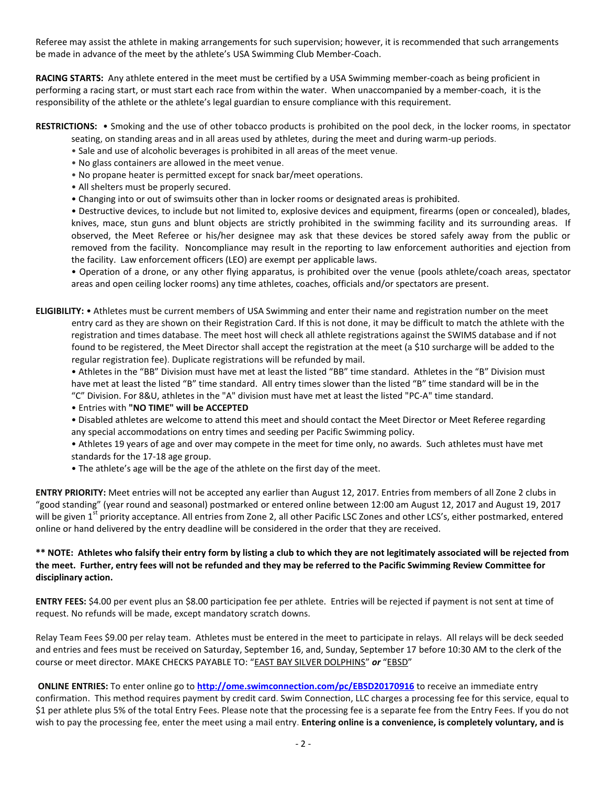Referee may assist the athlete in making arrangements for such supervision; however, it is recommended that such arrangements be made in advance of the meet by the athlete's USA Swimming Club Member-Coach.

**RACING STARTS:** Any athlete entered in the meet must be certified by a USA Swimming member-coach as being proficient in performing a racing start, or must start each race from within the water. When unaccompanied by a member-coach, it is the responsibility of the athlete or the athlete's legal guardian to ensure compliance with this requirement.

#### **RESTRICTIONS:** • Smoking and the use of other tobacco products is prohibited on the pool deck, in the locker rooms, in spectator seating, on standing areas and in all areas used by athletes, during the meet and during warm-up periods.

- Sale and use of alcoholic beverages is prohibited in all areas of the meet venue.
- No glass containers are allowed in the meet venue.
- No propane heater is permitted except for snack bar/meet operations.
- All shelters must be properly secured.
- Changing into or out of swimsuits other than in locker rooms or designated areas is prohibited.

• Destructive devices, to include but not limited to, explosive devices and equipment, firearms (open or concealed), blades, knives, mace, stun guns and blunt objects are strictly prohibited in the swimming facility and its surrounding areas. If observed, the Meet Referee or his/her designee may ask that these devices be stored safely away from the public or removed from the facility. Noncompliance may result in the reporting to law enforcement authorities and ejection from the facility. Law enforcement officers (LEO) are exempt per applicable laws.

• Operation of a drone, or any other flying apparatus, is prohibited over the venue (pools athlete/coach areas, spectator areas and open ceiling locker rooms) any time athletes, coaches, officials and/or spectators are present.

**ELIGIBILITY:** • Athletes must be current members of USA Swimming and enter their name and registration number on the meet entry card as they are shown on their Registration Card. If this is not done, it may be difficult to match the athlete with the registration and times database. The meet host will check all athlete registrations against the SWIMS database and if not found to be registered, the Meet Director shall accept the registration at the meet (a \$10 surcharge will be added to the regular registration fee). Duplicate registrations will be refunded by mail.

• Athletes in the "BB" Division must have met at least the listed "BB" time standard. Athletes in the "B" Division must have met at least the listed "B" time standard. All entry times slower than the listed "B" time standard will be in the "C" Division. For 8&U, athletes in the "A" division must have met at least the listed "PC-A" time standard.

• Entries with **"NO TIME" will be ACCEPTED**

- Disabled athletes are welcome to attend this meet and should contact the Meet Director or Meet Referee regarding any special accommodations on entry times and seeding per Pacific Swimming policy.
- Athletes 19 years of age and over may compete in the meet for time only, no awards. Such athletes must have met standards for the 17-18 age group.
- The athlete's age will be the age of the athlete on the first day of the meet.

**ENTRY PRIORITY:** Meet entries will not be accepted any earlier than August 12, 2017. Entries from members of all Zone 2 clubs in "good standing" (year round and seasonal) postmarked or entered online between 12:00 am August 12, 2017 and August 19, 2017 will be given 1<sup>st</sup> priority acceptance. All entries from Zone 2, all other Pacific LSC Zones and other LCS's, either postmarked, entered online or hand delivered by the entry deadline will be considered in the order that they are received.

# **\*\* NOTE: Athletes who falsify their entry form by listing a club to which they are not legitimately associated will be rejected from the meet. Further, entry fees will not be refunded and they may be referred to the Pacific Swimming Review Committee for disciplinary action.**

**ENTRY FEES:** \$4.00 per event plus an \$8.00 participation fee per athlete. Entries will be rejected if payment is not sent at time of request. No refunds will be made, except mandatory scratch downs.

Relay Team Fees \$9.00 per relay team. Athletes must be entered in the meet to participate in relays. All relays will be deck seeded and entries and fees must be received on Saturday, September 16, and, Sunday, September 17 before 10:30 AM to the clerk of the course or meet director. MAKE CHECKS PAYABLE TO: "EAST BAY SILVER DOLPHINS" *or* "EBSD"

**ONLINE ENTRIES:** To enter online go to **<http://ome.swimconnection.com/pc/EBSD20170916>** to receive an immediate entry confirmation. This method requires payment by credit card. Swim Connection, LLC charges a processing fee for this service, equal to \$1 per athlete plus 5% of the total Entry Fees. Please note that the processing fee is a separate fee from the Entry Fees. If you do not wish to pay the processing fee, enter the meet using a mail entry. **Entering online is a convenience, is completely voluntary, and is**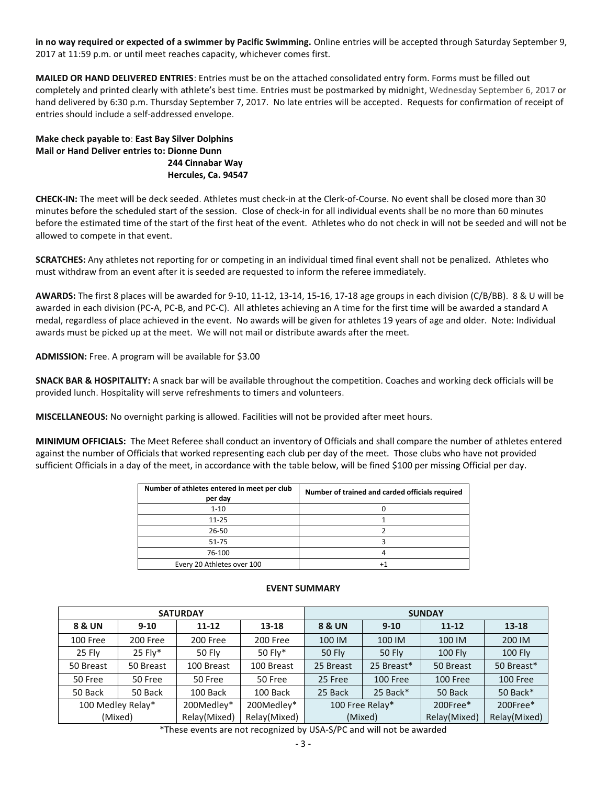**in no way required or expected of a swimmer by Pacific Swimming.** Online entries will be accepted through Saturday September 9, 2017 at 11:59 p.m. or until meet reaches capacity, whichever comes first.

**MAILED OR HAND DELIVERED ENTRIES**: Entries must be on the attached consolidated entry form. Forms must be filled out completely and printed clearly with athlete's best time. Entries must be postmarked by midnight, Wednesday September 6, 2017 or hand delivered by 6:30 p.m. Thursday September 7, 2017. No late entries will be accepted. Requests for confirmation of receipt of entries should include a self-addressed envelope.

**Make check payable to**: **East Bay Silver Dolphins Mail or Hand Deliver entries to: Dionne Dunn 244 Cinnabar Way Hercules, Ca. 94547** 

**CHECK-IN:** The meet will be deck seeded. Athletes must check-in at the Clerk-of-Course. No event shall be closed more than 30 minutes before the scheduled start of the session. Close of check-in for all individual events shall be no more than 60 minutes before the estimated time of the start of the first heat of the event. Athletes who do not check in will not be seeded and will not be allowed to compete in that event.

**SCRATCHES:** Any athletes not reporting for or competing in an individual timed final event shall not be penalized. Athletes who must withdraw from an event after it is seeded are requested to inform the referee immediately.

**AWARDS:** The first 8 places will be awarded for 9-10, 11-12, 13-14, 15-16, 17-18 age groups in each division (C/B/BB). 8 & U will be awarded in each division (PC-A, PC-B, and PC-C). All athletes achieving an A time for the first time will be awarded a standard A medal, regardless of place achieved in the event. No awards will be given for athletes 19 years of age and older. Note: Individual awards must be picked up at the meet. We will not mail or distribute awards after the meet.

**ADMISSION:** Free. A program will be available for \$3.00

**SNACK BAR & HOSPITALITY:** A snack bar will be available throughout the competition. Coaches and working deck officials will be provided lunch. Hospitality will serve refreshments to timers and volunteers.

**MISCELLANEOUS:** No overnight parking is allowed. Facilities will not be provided after meet hours.

**MINIMUM OFFICIALS:** The Meet Referee shall conduct an inventory of Officials and shall compare the number of athletes entered against the number of Officials that worked representing each club per day of the meet. Those clubs who have not provided sufficient Officials in a day of the meet, in accordance with the table below, will be fined \$100 per missing Official per day.

| Number of athletes entered in meet per club<br>per day | Number of trained and carded officials required |
|--------------------------------------------------------|-------------------------------------------------|
| $1 - 10$                                               |                                                 |
| $11 - 25$                                              |                                                 |
| 26-50                                                  |                                                 |
| 51-75                                                  |                                                 |
| 76-100                                                 |                                                 |
| Every 20 Athletes over 100                             |                                                 |

|                   |           | <b>SATURDAY</b> |              | <b>SUNDAY</b>                  |            |                |                |  |  |  |
|-------------------|-----------|-----------------|--------------|--------------------------------|------------|----------------|----------------|--|--|--|
| 8 & UN            | $9 - 10$  | $11 - 12$       | 13-18        | 8 & UN                         | $9 - 10$   | $11 - 12$      | $13 - 18$      |  |  |  |
| 100 Free          | 200 Free  | 200 Free        | 200 Free     | 100 IM                         | 100 IM     | 100 IM         | 200 IM         |  |  |  |
| 25 Fly            | $25$ Fly* | <b>50 Fly</b>   | 50 Fly*      | <b>50 Fly</b><br><b>50 Fly</b> |            | <b>100 Fly</b> | <b>100 Fly</b> |  |  |  |
| 50 Breast         | 50 Breast | 100 Breast      | 100 Breast   | 25 Breast                      | 25 Breast* | 50 Breast      | 50 Breast*     |  |  |  |
| 50 Free           | 50 Free   | 50 Free         | 50 Free      | 25 Free                        | 100 Free   | 100 Free       | 100 Free       |  |  |  |
| 50 Back           | 50 Back   | 100 Back        | 100 Back     | 25 Back                        | 25 Back*   | 50 Back        | 50 Back*       |  |  |  |
| 100 Medley Relay* |           | 200Medley*      | 200Medley*   | 100 Free Relay*                |            | 200Free*       | 200Free*       |  |  |  |
| (Mixed)           |           | Relay(Mixed)    | Relay(Mixed) |                                | (Mixed)    | Relay(Mixed)   | Relay(Mixed)   |  |  |  |

## **EVENT SUMMARY**

\*These events are not recognized by USA-S/PC and will not be awarded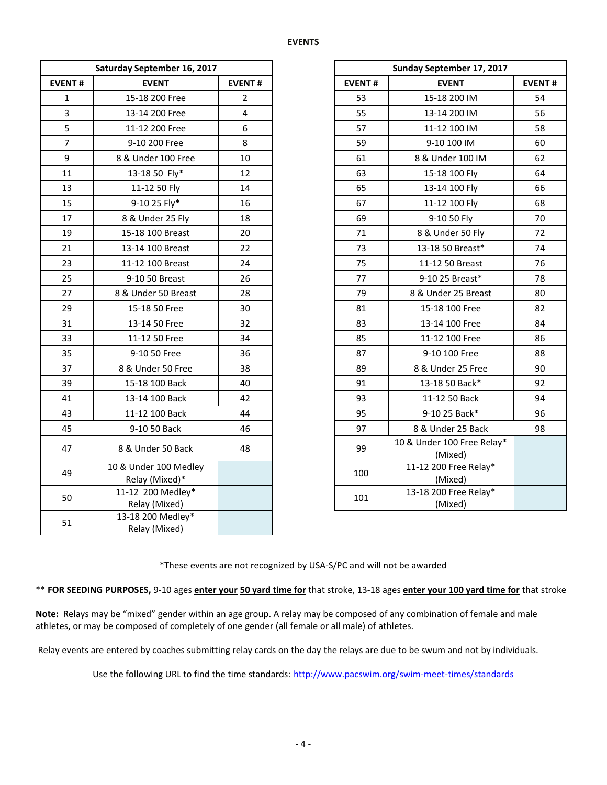|                | Saturday September 16, 2017             |                |
|----------------|-----------------------------------------|----------------|
| <b>EVENT#</b>  | <b>EVENT</b>                            | <b>EVENT#</b>  |
| $\mathbf{1}$   | 15-18 200 Free                          | $\overline{2}$ |
| $\overline{3}$ | 13-14 200 Free                          | $\overline{4}$ |
| 5              | 11-12 200 Free                          | 6              |
| $\overline{7}$ | 9-10 200 Free                           | 8              |
| 9              | 8 & Under 100 Free                      | 10             |
| 11             | 13-18 50 Fly*                           | 12             |
| 13             | 11-12 50 Fly                            | 14             |
| 15             | 9-10 25 Fly*                            | 16             |
| 17             | 8 & Under 25 Fly                        | 18             |
| 19             | 15-18 100 Breast                        | 20             |
| 21             | 13-14 100 Breast                        | 22             |
| 23             | 11-12 100 Breast                        | 24             |
| 25             | 9-10 50 Breast                          | 26             |
| 27             | 8 & Under 50 Breast                     | 28             |
| 29             | 15-18 50 Free                           | 30             |
| 31             | 13-14 50 Free                           | 32             |
| 33             | 11-12 50 Free                           | 34             |
| 35             | 9-10 50 Free                            | 36             |
| 37             | 8 & Under 50 Free                       | 38             |
| 39             | 15-18 100 Back                          | 40             |
| 41             | 13-14 100 Back                          | 42             |
| 43             | 11-12 100 Back                          | 44             |
| 45             | 9-10 50 Back                            | 46             |
| 47             | 8 & Under 50 Back                       | 48             |
| 49             | 10 & Under 100 Medley<br>Relay (Mixed)* |                |
| 50             | 11-12 200 Medley*<br>Relay (Mixed)      |                |
| 51             | 13-18 200 Medley*<br>Relay (Mixed)      |                |

|                         | Saturday September 16, 2017             |                |
|-------------------------|-----------------------------------------|----------------|
| NT#                     | <b>EVENT</b>                            | <b>EVENT#</b>  |
| 1                       | 15-18 200 Free                          | $\overline{2}$ |
| $\overline{\mathbf{3}}$ | 13-14 200 Free                          | $\overline{4}$ |
| $\frac{1}{5}$           | 11-12 200 Free                          | 6              |
| $\overline{7}$          | 9-10 200 Free                           | 8              |
| 9                       | 8 & Under 100 Free                      | 10             |
| $\overline{11}$         | 13-18 50 Fly*                           | 12             |
| L3                      | 11-12 50 Fly                            | 14             |
| L5                      | 9-10 25 Fly*                            | 16             |
| 17                      | 8 & Under 25 Fly                        | 18             |
| L9                      | 15-18 100 Breast                        | 20             |
| $\overline{21}$         | 13-14 100 Breast                        | 22             |
| $^{23}$                 | 11-12 100 Breast                        | 24             |
| 25                      | 9-10 50 Breast                          | 26             |
| 27                      | 8 & Under 50 Breast                     | 28             |
| 29                      | 15-18 50 Free                           | 30             |
| $\overline{31}$         | 13-14 50 Free                           | 32             |
| $\overline{3}$          | 11-12 50 Free                           | 34             |
| 35 <sub>1</sub>         | 9-10 50 Free                            | 36             |
| 37                      | 8 & Under 50 Free                       | 38             |
| 39                      | 15-18 100 Back                          | 40             |
| $\overline{11}$         | 13-14 100 Back                          | 42             |
| 13                      | 11-12 100 Back                          | 44             |
| 15                      | 9-10 50 Back                            | 46             |
| 17                      | 8 & Under 50 Back                       | 48             |
| 19                      | 10 & Under 100 Medley<br>Relay (Mixed)* |                |
| 50                      | 11-12 200 Medley*<br>Relay (Mixed)      |                |

\*These events are not recognized by USA-S/PC and will not be awarded

\*\* **FOR SEEDING PURPOSES,** 9-10 ages **enter your 50 yard time for** that stroke, 13-18 ages **enter your 100 yard time for** that stroke

**Note:** Relays may be "mixed" gender within an age group. A relay may be composed of any combination of female and male athletes, or may be composed of completely of one gender (all female or all male) of athletes.

Relay events are entered by coaches submitting relay cards on the day the relays are due to be swum and not by individuals.

Use the following URL to find the time standards: <http://www.pacswim.org/swim-meet-times/standards>